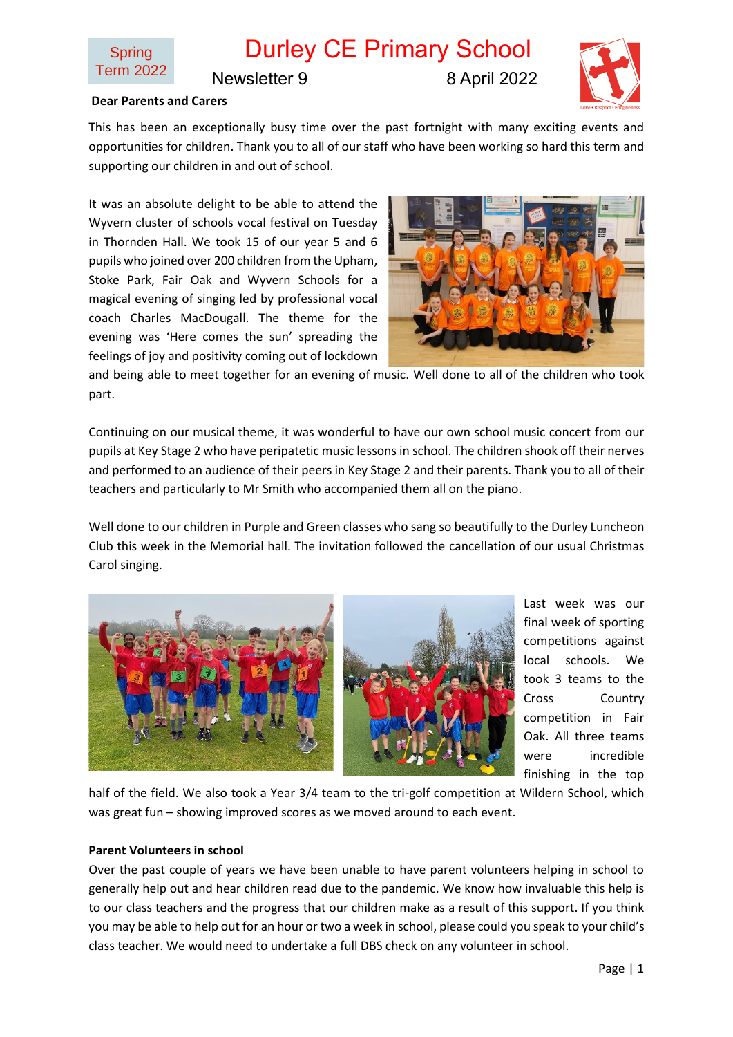

Newsletter 9 8 April 2022

## **Dear Parents and Carers**

This has been an exceptionally busy time over the past fortnight with many exciting events and opportunities for children. Thank you to all of our staff who have been working so hard this term and supporting our children in and out of school.

It was an absolute delight to be able to attend the Wyvern cluster of schools vocal festival on Tuesday in Thornden Hall. We took 15 of our year 5 and 6 pupils who joined over 200 children from the Upham, Stoke Park, Fair Oak and Wyvern Schools for a magical evening of singing led by professional vocal coach Charles MacDougall. The theme for the evening was 'Here comes the sun' spreading the feelings of joy and positivity coming out of lockdown



and being able to meet together for an evening of music. Well done to all of the children who took part.

Continuing on our musical theme, it was wonderful to have our own school music concert from our pupils at Key Stage 2 who have peripatetic music lessons in school. The children shook off their nerves and performed to an audience of their peers in Key Stage 2 and their parents. Thank you to all of their teachers and particularly to Mr Smith who accompanied them all on the piano.

Well done to our children in Purple and Green classes who sang so beautifully to the Durley Luncheon Club this week in the Memorial hall. The invitation followed the cancellation of our usual Christmas Carol singing.



Last week was our final week of sporting competitions against local schools. We took 3 teams to the Cross Country competition in Fair Oak. All three teams were incredible finishing in the top

half of the field. We also took a Year 3/4 team to the tri-golf competition at Wildern School, which was great fun – showing improved scores as we moved around to each event.

#### **Parent Volunteers in school**

Over the past couple of years we have been unable to have parent volunteers helping in school to generally help out and hear children read due to the pandemic. We know how invaluable this help is to our class teachers and the progress that our children make as a result of this support. If you think you may be able to help out for an hour or two a week in school, please could you speak to your child's class teacher. We would need to undertake a full DBS check on any volunteer in school.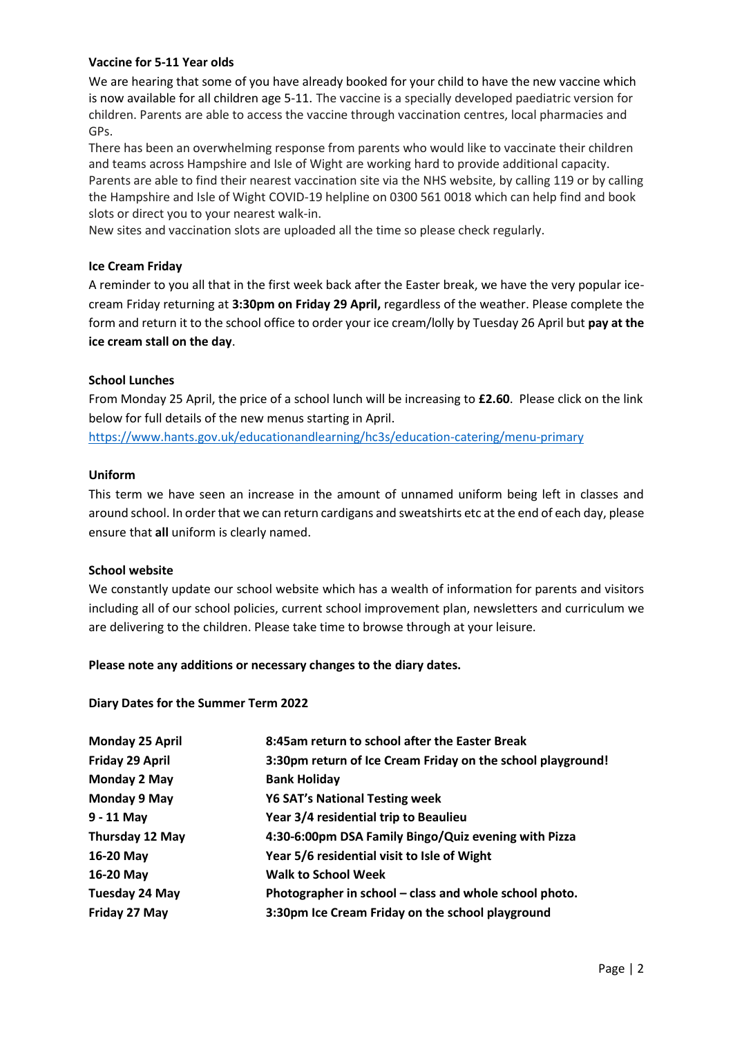## **Vaccine for 5-11 Year olds**

We are hearing that some of you have already booked for your child to have the new vaccine which is now available for all children age 5-11. The vaccine is a specially developed paediatric version for children. Parents are able to access the vaccine through vaccination centres, local pharmacies and GPs.

There has been an overwhelming response from parents who would like to vaccinate their children and teams across Hampshire and Isle of Wight are working hard to provide additional capacity. Parents are able to find their nearest vaccination site via the NHS website, by calling 119 or by calling the Hampshire and Isle of Wight COVID-19 helpline on 0300 561 0018 which can help find and book slots or direct you to your nearest walk-in.

New sites and vaccination slots are uploaded all the time so please check regularly.

# **Ice Cream Friday**

A reminder to you all that in the first week back after the Easter break, we have the very popular icecream Friday returning at **3:30pm on Friday 29 April,** regardless of the weather. Please complete the form and return it to the school office to order your ice cream/lolly by Tuesday 26 April but **pay at the ice cream stall on the day**.

# **School Lunches**

From Monday 25 April, the price of a school lunch will be increasing to **£2.60**. Please click on the link below for full details of the new menus starting in April.

<https://www.hants.gov.uk/educationandlearning/hc3s/education-catering/menu-primary>

# **Uniform**

This term we have seen an increase in the amount of unnamed uniform being left in classes and around school. In order that we can return cardigans and sweatshirts etc at the end of each day, please ensure that **all** uniform is clearly named.

## **School website**

We constantly update our school website which has a wealth of information for parents and visitors including all of our school policies, current school improvement plan, newsletters and curriculum we are delivering to the children. Please take time to browse through at your leisure.

## **Please note any additions or necessary changes to the diary dates.**

## **Diary Dates for the Summer Term 2022**

| <b>Monday 25 April</b> | 8:45am return to school after the Easter Break              |
|------------------------|-------------------------------------------------------------|
| Friday 29 April        | 3:30pm return of Ice Cream Friday on the school playground! |
| Monday 2 May           | <b>Bank Holiday</b>                                         |
| Monday 9 May           | <b>Y6 SAT's National Testing week</b>                       |
| $9 - 11$ May           | Year 3/4 residential trip to Beaulieu                       |
| Thursday 12 May        | 4:30-6:00pm DSA Family Bingo/Quiz evening with Pizza        |
| 16-20 May              | Year 5/6 residential visit to Isle of Wight                 |
| 16-20 May              | <b>Walk to School Week</b>                                  |
| <b>Tuesday 24 May</b>  | Photographer in school – class and whole school photo.      |
| Friday 27 May          | 3:30pm Ice Cream Friday on the school playground            |
|                        |                                                             |